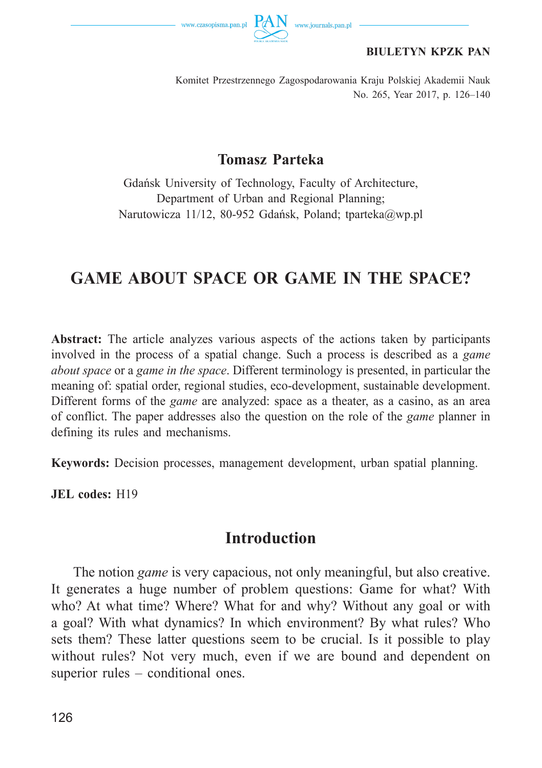

#### **BIULETYN KPZK PAN**

Komitet Przestrzennego Zagospodarowania Kraju Polskiej Akademii Nauk No. 265, Year 2017, p. 126–140

#### **Tomasz Parteka**

Gdańsk University of Technology, Faculty of Architecture, Department of Urban and Regional Planning; Narutowicza 11/12, 80-952 Gdańsk, Poland; tparteka@wp.pl

# **GAME ABOUT SPACE OR GAME IN THE SPACE?**

**Abstract:** The article analyzes various aspects of the actions taken by participants involved in the process of a spatial change. Such a process is described as a *game about space* or a *game in the space*. Different terminology is presented, in particular the meaning of: spatial order, regional studies, eco-development, sustainable development. Different forms of the *game* are analyzed: space as a theater, as a casino, as an area of conflict. The paper addresses also the question on the role of the *game* planner in defining its rules and mechanisms.

**Keywords:** Decision processes, management development, urban spatial planning.

**JEL codes:** H19

#### **Introduction**

The notion *game* is very capacious, not only meaningful, but also creative. It generates a huge number of problem questions: Game for what? With who? At what time? Where? What for and why? Without any goal or with a goal? With what dynamics? In which environment? By what rules? Who sets them? These latter questions seem to be crucial. Is it possible to play without rules? Not very much, even if we are bound and dependent on superior rules – conditional ones.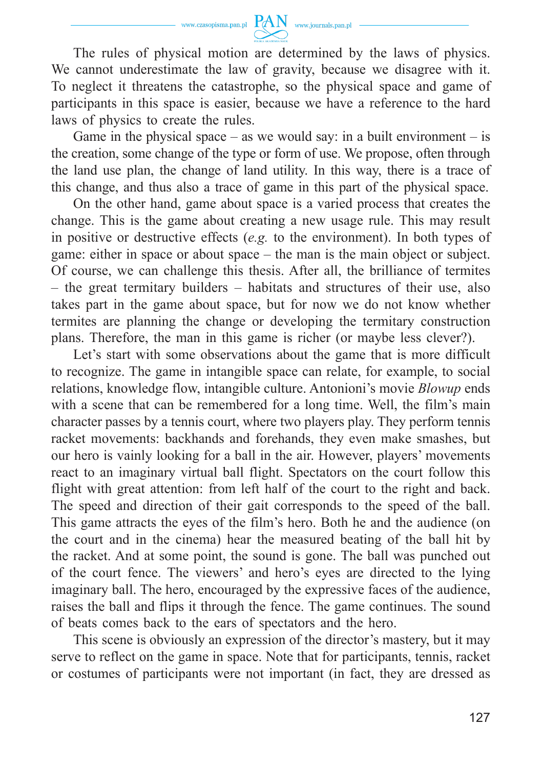

The rules of physical motion are determined by the laws of physics. We cannot underestimate the law of gravity, because we disagree with it. To neglect it threatens the catastrophe, so the physical space and game of participants in this space is easier, because we have a reference to the hard laws of physics to create the rules.

Game in the physical space – as we would say: in a built environment – is the creation, some change of the type or form of use. We propose, often through the land use plan, the change of land utility. In this way, there is a trace of this change, and thus also a trace of game in this part of the physical space.

On the other hand, game about space is a varied process that creates the change. This is the game about creating a new usage rule. This may result in positive or destructive effects (*e.g.* to the environment). In both types of game: either in space or about space – the man is the main object or subject. Of course, we can challenge this thesis. After all, the brilliance of termites – the great termitary builders – habitats and structures of their use, also takes part in the game about space, but for now we do not know whether termites are planning the change or developing the termitary construction plans. Therefore, the man in this game is richer (or maybe less clever?).

Let's start with some observations about the game that is more difficult to recognize. The game in intangible space can relate, for example, to social relations, knowledge flow, intangible culture. Antonioni's movie *Blowup* ends with a scene that can be remembered for a long time. Well, the film's main character passes by a tennis court, where two players play. They perform tennis racket movements: backhands and forehands, they even make smashes, but our hero is vainly looking for a ball in the air. However, players' movements react to an imaginary virtual ball flight. Spectators on the court follow this flight with great attention: from left half of the court to the right and back. The speed and direction of their gait corresponds to the speed of the ball. This game attracts the eyes of the film's hero. Both he and the audience (on the court and in the cinema) hear the measured beating of the ball hit by the racket. And at some point, the sound is gone. The ball was punched out of the court fence. The viewers' and hero's eyes are directed to the lying imaginary ball. The hero, encouraged by the expressive faces of the audience, raises the ball and flips it through the fence. The game continues. The sound of beats comes back to the ears of spectators and the hero.

This scene is obviously an expression of the director's mastery, but it may serve to reflect on the game in space. Note that for participants, tennis, racket or costumes of participants were not important (in fact, they are dressed as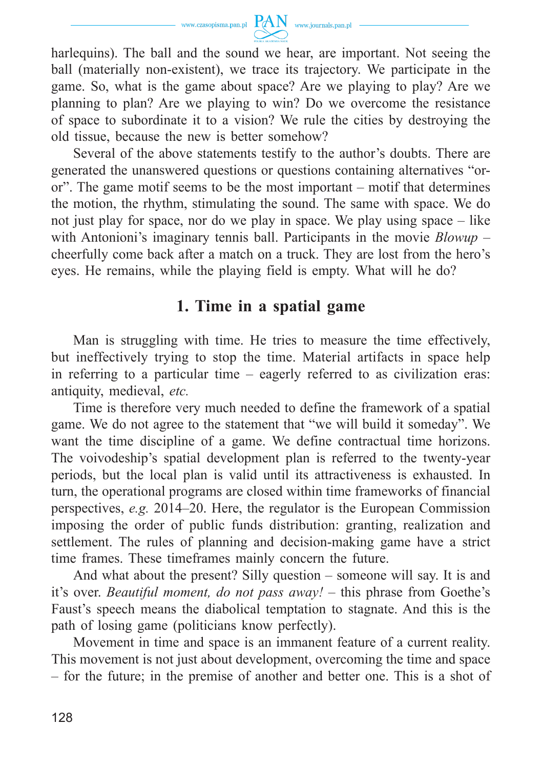

harlequins). The ball and the sound we hear, are important. Not seeing the ball (materially non-existent), we trace its trajectory. We participate in the game. So, what is the game about space? Are we playing to play? Are we planning to plan? Are we playing to win? Do we overcome the resistance of space to subordinate it to a vision? We rule the cities by destroying the old tissue, because the new is better somehow?

Several of the above statements testify to the author's doubts. There are generated the unanswered questions or questions containing alternatives "oror". The game motif seems to be the most important – motif that determines the motion, the rhythm, stimulating the sound. The same with space. We do not just play for space, nor do we play in space. We play using space – like with Antonioni's imaginary tennis ball. Participants in the movie *Blowup* – cheerfully come back after a match on a truck. They are lost from the hero's eyes. He remains, while the playing field is empty. What will he do?

### **1. Time in a spatial game**

Man is struggling with time. He tries to measure the time effectively, but ineffectively trying to stop the time. Material artifacts in space help in referring to a particular time – eagerly referred to as civilization eras: antiquity, medieval, *etc.*

Time is therefore very much needed to define the framework of a spatial game. We do not agree to the statement that "we will build it someday". We want the time discipline of a game. We define contractual time horizons. The voivodeship's spatial development plan is referred to the twenty-year periods, but the local plan is valid until its attractiveness is exhausted. In turn, the operational programs are closed within time frameworks of financial perspectives, *e.g.* 2014–20. Here, the regulator is the European Commission imposing the order of public funds distribution: granting, realization and settlement. The rules of planning and decision-making game have a strict time frames. These timeframes mainly concern the future.

And what about the present? Silly question – someone will say. It is and it's over. *Beautiful moment, do not pass away!* – this phrase from Goethe's Faust's speech means the diabolical temptation to stagnate. And this is the path of losing game (politicians know perfectly).

Movement in time and space is an immanent feature of a current reality. This movement is not just about development, overcoming the time and space – for the future; in the premise of another and better one. This is a shot of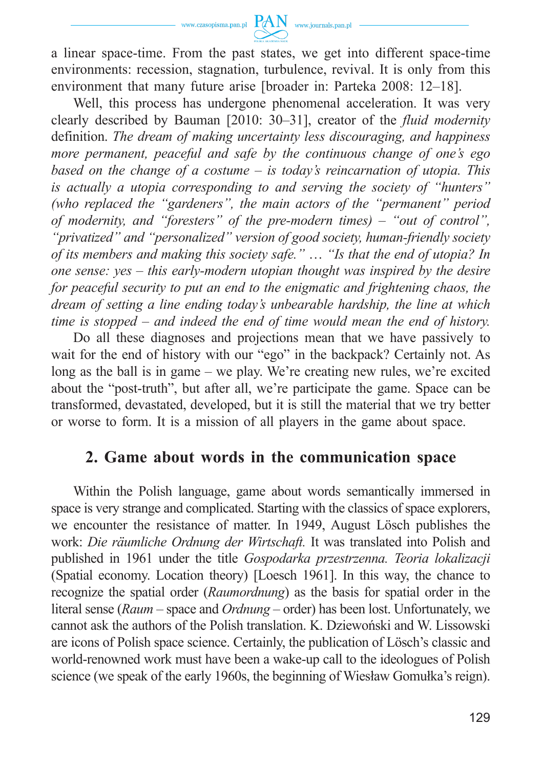

a linear space-time. From the past states, we get into different space-time environments: recession, stagnation, turbulence, revival. It is only from this environment that many future arise [broader in: Parteka 2008: 12–18].

Well, this process has undergone phenomenal acceleration. It was very clearly described by Bauman [2010: 30–31], creator of the *fluid modernity* definition. *The dream of making uncertainty less discouraging, and happiness more permanent, peaceful and safe by the continuous change of one's ego based on the change of a costume – is today's reincarnation of utopia. This is actually a utopia corresponding to and serving the society of "hunters" (who replaced the "gardeners", the main actors of the "permanent" period of modernity, and "foresters" of the pre-modern times) – "out of control", "privatized" and "personalized" version of good society, human-friendly society of its members and making this society safe."* … *"Is that the end of utopia? In one sense: yes – this early-modern utopian thought was inspired by the desire for peaceful security to put an end to the enigmatic and frightening chaos, the dream of setting a line ending today's unbearable hardship, the line at which time is stopped – and indeed the end of time would mean the end of history.*

Do all these diagnoses and projections mean that we have passively to wait for the end of history with our "ego" in the backpack? Certainly not. As long as the ball is in game – we play. We're creating new rules, we're excited about the "post-truth", but after all, we're participate the game. Space can be transformed, devastated, developed, but it is still the material that we try better or worse to form. It is a mission of all players in the game about space.

### **2. Game about words in the communication space**

Within the Polish language, game about words semantically immersed in space is very strange and complicated. Starting with the classics of space explorers, we encounter the resistance of matter. In 1949, August Lösch publishes the work: *Die räumliche Ordnung der Wirtschaft.* It was translated into Polish and published in 1961 under the title *Gospodarka przestrzenna. Teoria lokalizacji* (Spatial economy. Location theory) [Loesch 1961]. In this way, the chance to recognize the spatial order (*Raumordnung*) as the basis for spatial order in the literal sense (*Raum* – space and *Ordnung* – order) has been lost. Unfortunately, we cannot ask the authors of the Polish translation. K. Dziewoński and W. Lissowski are icons of Polish space science. Certainly, the publication of Lösch's classic and world-renowned work must have been a wake-up call to the ideologues of Polish science (we speak of the early 1960s, the beginning of Wiesław Gomułka's reign).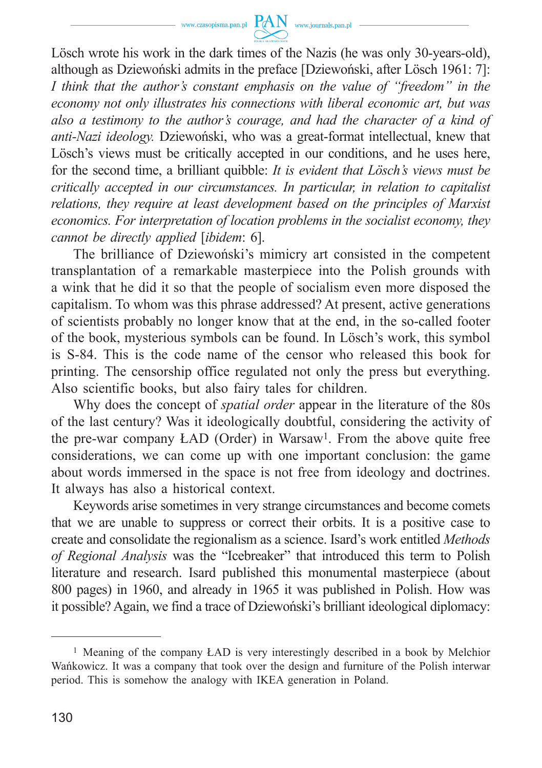

Lösch wrote his work in the dark times of the Nazis (he was only 30-years-old), although as Dziewoński admits in the preface [Dziewoński, after Lösch 1961: 7]: *I think that the author's constant emphasis on the value of "freedom" in the economy not only illustrates his connections with liberal economic art, but was also a testimony to the author's courage, and had the character of a kind of anti-Nazi ideology.* Dziewoński, who was a great-format intellectual, knew that Lösch's views must be critically accepted in our conditions, and he uses here, for the second time, a brilliant quibble: *It is evident that Lösch's views must be critically accepted in our circumstances. In particular, in relation to capitalist relations, they require at least development based on the principles of Marxist economics. For interpretation of location problems in the socialist economy, they cannot be directly applied* [*ibidem*: 6].

The brilliance of Dziewoński's mimicry art consisted in the competent transplantation of a remarkable masterpiece into the Polish grounds with a wink that he did it so that the people of socialism even more disposed the capitalism. To whom was this phrase addressed? At present, active generations of scientists probably no longer know that at the end, in the so-called footer of the book, mysterious symbols can be found. In Lösch's work, this symbol is S-84. This is the code name of the censor who released this book for printing. The censorship office regulated not only the press but everything. Also scientific books, but also fairy tales for children.

Why does the concept of *spatial order* appear in the literature of the 80s of the last century? Was it ideologically doubtful, considering the activity of the pre-war company ŁAD (Order) in Warsaw1. From the above quite free considerations, we can come up with one important conclusion: the game about words immersed in the space is not free from ideology and doctrines. It always has also a historical context.

Keywords arise sometimes in very strange circumstances and become comets that we are unable to suppress or correct their orbits. It is a positive case to create and consolidate the regionalism as a science. Isard's work entitled *Methods of Regional Analysis* was the "Icebreaker" that introduced this term to Polish literature and research. Isard published this monumental masterpiece (about 800 pages) in 1960, and already in 1965 it was published in Polish. How was it possible? Again, we find a trace of Dziewoński's brilliant ideological diplomacy:

<sup>1</sup> Meaning of the company ŁAD is very interestingly described in a book by Melchior Wańkowicz. It was a company that took over the design and furniture of the Polish interwar period. This is somehow the analogy with IKEA generation in Poland.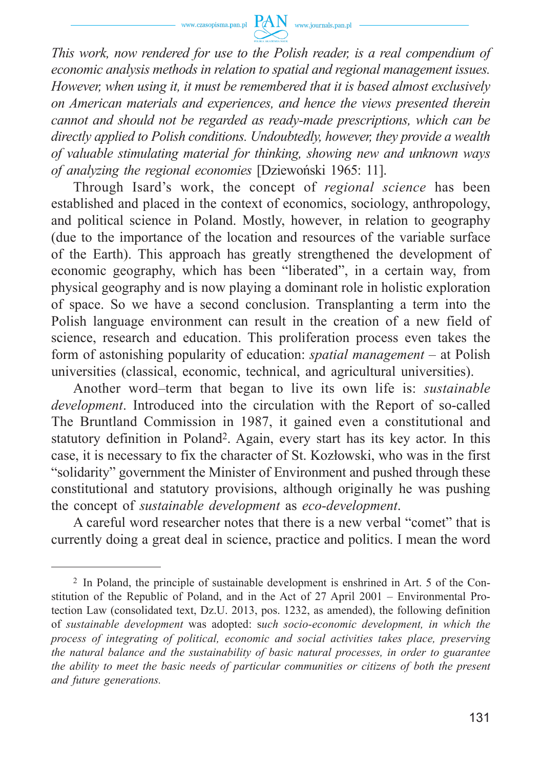

*This work, now rendered for use to the Polish reader, is a real compendium of economic analysis methods in relation to spatial and regional management issues. However, when using it, it must be remembered that it is based almost exclusively on American materials and experiences, and hence the views presented therein cannot and should not be regarded as ready-made prescriptions, which can be directly applied to Polish conditions. Undoubtedly, however, they provide a wealth of valuable stimulating material for thinking, showing new and unknown ways of analyzing the regional economies* [Dziewoński 1965: 11].

Through Isard's work, the concept of *regional science* has been established and placed in the context of economics, sociology, anthropology, and political science in Poland. Mostly, however, in relation to geography (due to the importance of the location and resources of the variable surface of the Earth). This approach has greatly strengthened the development of economic geography, which has been "liberated", in a certain way, from physical geography and is now playing a dominant role in holistic exploration of space. So we have a second conclusion. Transplanting a term into the Polish language environment can result in the creation of a new field of science, research and education. This proliferation process even takes the form of astonishing popularity of education: *spatial management* – at Polish universities (classical, economic, technical, and agricultural universities).

Another word–term that began to live its own life is: *sustainable development*. Introduced into the circulation with the Report of so-called The Bruntland Commission in 1987, it gained even a constitutional and statutory definition in Poland2. Again, every start has its key actor. In this case, it is necessary to fix the character of St. Kozłowski, who was in the first "solidarity" government the Minister of Environment and pushed through these constitutional and statutory provisions, although originally he was pushing the concept of *sustainable development* as *eco-development*.

A careful word researcher notes that there is a new verbal "comet" that is currently doing a great deal in science, practice and politics. I mean the word

<sup>2</sup> In Poland, the principle of sustainable development is enshrined in Art. 5 of the Constitution of the Republic of Poland, and in the Act of 27 April 2001 – Environmental Protection Law (consolidated text, Dz.U. 2013, pos. 1232, as amended), the following definition of *sustainable development* was adopted: s*uch socio-economic development, in which the process of integrating of political, economic and social activities takes place, preserving the natural balance and the sustainability of basic natural processes, in order to guarantee the ability to meet the basic needs of particular communities or citizens of both the present and future generations.*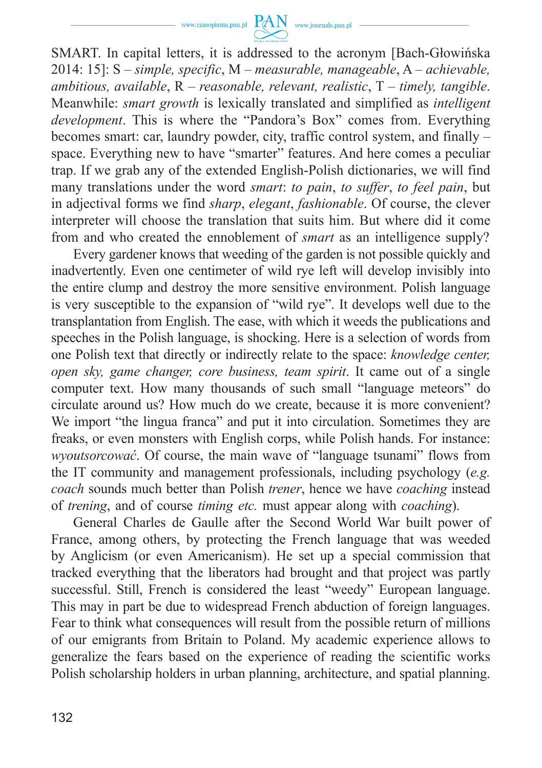

SMART. In capital letters, it is addressed to the acronym [Bach-Głowińska 2014: 15]: S – *simple, specific*, M – *measurable, manageable*, A – *achievable, ambitious, available*, R – *reasonable, relevant, realistic*, T – *timely, tangible*. Meanwhile: *smart growth* is lexically translated and simplified as *intelligent development*. This is where the "Pandora's Box" comes from. Everything becomes smart: car, laundry powder, city, traffic control system, and finally – space. Everything new to have "smarter" features. And here comes a peculiar trap. If we grab any of the extended English-Polish dictionaries, we will find many translations under the word *smart*: *to pain*, *to suffer*, *to feel pain*, but in adjectival forms we find *sharp*, *elegant*, *fashionable*. Of course, the clever interpreter will choose the translation that suits him. But where did it come from and who created the ennoblement of *smart* as an intelligence supply?

Every gardener knows that weeding of the garden is not possible quickly and inadvertently. Even one centimeter of wild rye left will develop invisibly into the entire clump and destroy the more sensitive environment. Polish language is very susceptible to the expansion of "wild rye". It develops well due to the transplantation from English. The ease, with which it weeds the publications and speeches in the Polish language, is shocking. Here is a selection of words from one Polish text that directly or indirectly relate to the space: *knowledge center, open sky, game changer, core business, team spirit*. It came out of a single computer text. How many thousands of such small "language meteors" do circulate around us? How much do we create, because it is more convenient? We import "the lingua franca" and put it into circulation. Sometimes they are freaks, or even monsters with English corps, while Polish hands. For instance: *wyoutsorcować*. Of course, the main wave of "language tsunami" flows from the IT community and management professionals, including psychology (*e.g. coach* sounds much better than Polish *trener*, hence we have *coaching* instead of *trening*, and of course *timing etc.* must appear along with *coaching*).

General Charles de Gaulle after the Second World War built power of France, among others, by protecting the French language that was weeded by Anglicism (or even Americanism). He set up a special commission that tracked everything that the liberators had brought and that project was partly successful. Still, French is considered the least "weedy" European language. This may in part be due to widespread French abduction of foreign languages. Fear to think what consequences will result from the possible return of millions of our emigrants from Britain to Poland. My academic experience allows to generalize the fears based on the experience of reading the scientific works Polish scholarship holders in urban planning, architecture, and spatial planning.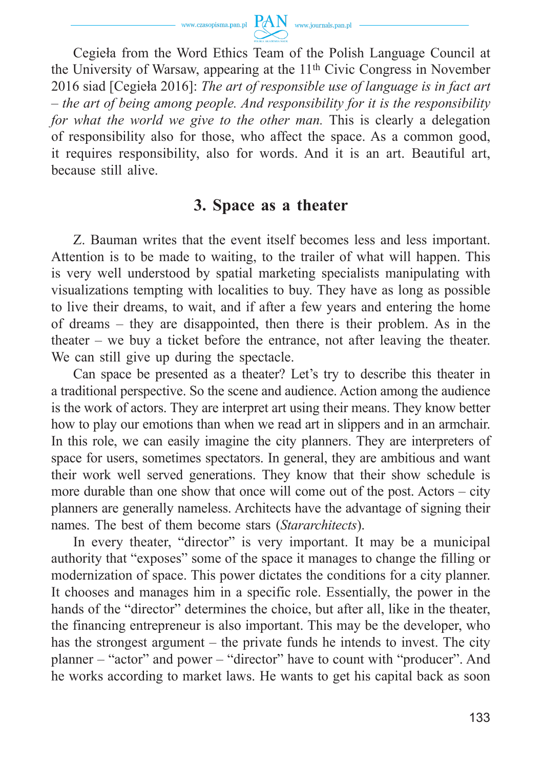

Cegieła from the Word Ethics Team of the Polish Language Council at the University of Warsaw, appearing at the 11th Civic Congress in November 2016 siad [Cegieła 2016]: *The art of responsible use of language is in fact art – the art of being among people. And responsibility for it is the responsibility for what the world we give to the other man.* This is clearly a delegation of responsibility also for those, who affect the space. As a common good, it requires responsibility, also for words. And it is an art. Beautiful art, because still alive.

#### **3. Space as a theater**

Z. Bauman writes that the event itself becomes less and less important. Attention is to be made to waiting, to the trailer of what will happen. This is very well understood by spatial marketing specialists manipulating with visualizations tempting with localities to buy. They have as long as possible to live their dreams, to wait, and if after a few years and entering the home of dreams – they are disappointed, then there is their problem. As in the theater – we buy a ticket before the entrance, not after leaving the theater. We can still give up during the spectacle.

Can space be presented as a theater? Let's try to describe this theater in a traditional perspective. So the scene and audience. Action among the audience is the work of actors. They are interpret art using their means. They know better how to play our emotions than when we read art in slippers and in an armchair. In this role, we can easily imagine the city planners. They are interpreters of space for users, sometimes spectators. In general, they are ambitious and want their work well served generations. They know that their show schedule is more durable than one show that once will come out of the post. Actors – city planners are generally nameless. Architects have the advantage of signing their names. The best of them become stars (*Stararchitects*).

In every theater, "director" is very important. It may be a municipal authority that "exposes" some of the space it manages to change the filling or modernization of space. This power dictates the conditions for a city planner. It chooses and manages him in a specific role. Essentially, the power in the hands of the "director" determines the choice, but after all, like in the theater, the financing entrepreneur is also important. This may be the developer, who has the strongest argument – the private funds he intends to invest. The city planner – "actor" and power – "director" have to count with "producer". And he works according to market laws. He wants to get his capital back as soon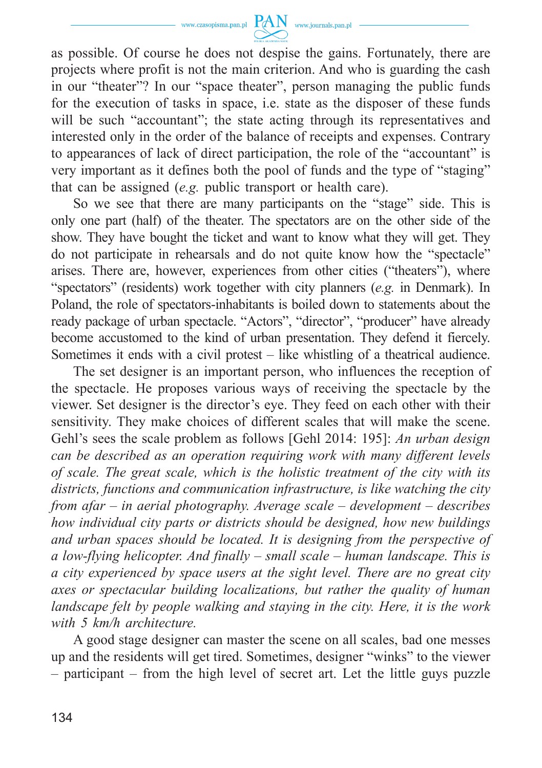

as possible. Of course he does not despise the gains. Fortunately, there are projects where profit is not the main criterion. And who is guarding the cash in our "theater"? In our "space theater", person managing the public funds for the execution of tasks in space, i.e. state as the disposer of these funds will be such "accountant"; the state acting through its representatives and interested only in the order of the balance of receipts and expenses. Contrary to appearances of lack of direct participation, the role of the "accountant" is very important as it defines both the pool of funds and the type of "staging" that can be assigned (*e.g.* public transport or health care).

So we see that there are many participants on the "stage" side. This is only one part (half) of the theater. The spectators are on the other side of the show. They have bought the ticket and want to know what they will get. They do not participate in rehearsals and do not quite know how the "spectacle" arises. There are, however, experiences from other cities ("theaters"), where "spectators" (residents) work together with city planners (*e.g.* in Denmark). In Poland, the role of spectators-inhabitants is boiled down to statements about the ready package of urban spectacle. "Actors", "director", "producer" have already become accustomed to the kind of urban presentation. They defend it fiercely. Sometimes it ends with a civil protest – like whistling of a theatrical audience.

The set designer is an important person, who influences the reception of the spectacle. He proposes various ways of receiving the spectacle by the viewer. Set designer is the director's eye. They feed on each other with their sensitivity. They make choices of different scales that will make the scene. Gehl's sees the scale problem as follows [Gehl 2014: 195]: *An urban design can be described as an operation requiring work with many different levels of scale. The great scale, which is the holistic treatment of the city with its districts, functions and communication infrastructure, is like watching the city from afar – in aerial photography. Average scale – development – describes how individual city parts or districts should be designed, how new buildings and urban spaces should be located. It is designing from the perspective of a low-flying helicopter. And finally – small scale – human landscape. This is a city experienced by space users at the sight level. There are no great city axes or spectacular building localizations, but rather the quality of human landscape felt by people walking and staying in the city. Here, it is the work with 5 km/h architecture.*

A good stage designer can master the scene on all scales, bad one messes up and the residents will get tired. Sometimes, designer "winks" to the viewer – participant – from the high level of secret art. Let the little guys puzzle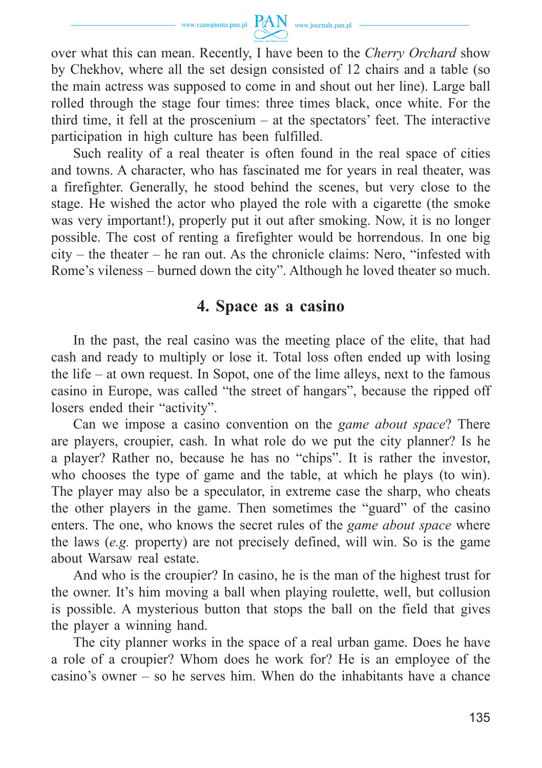

over what this can mean. Recently, I have been to the *Cherry Orchard* show by Chekhov, where all the set design consisted of 12 chairs and a table (so the main actress was supposed to come in and shout out her line). Large ball rolled through the stage four times: three times black, once white. For the third time, it fell at the proscenium – at the spectators' feet. The interactive participation in high culture has been fulfilled.

Such reality of a real theater is often found in the real space of cities and towns. A character, who has fascinated me for years in real theater, was a firefighter. Generally, he stood behind the scenes, but very close to the stage. He wished the actor who played the role with a cigarette (the smoke was very important!), properly put it out after smoking. Now, it is no longer possible. The cost of renting a firefighter would be horrendous. In one big city – the theater – he ran out. As the chronicle claims: Nero, "infested with Rome's vileness – burned down the city". Although he loved theater so much.

### **4. Space as a casino**

In the past, the real casino was the meeting place of the elite, that had cash and ready to multiply or lose it. Total loss often ended up with losing the life – at own request. In Sopot, one of the lime alleys, next to the famous casino in Europe, was called "the street of hangars", because the ripped off losers ended their "activity".

Can we impose a casino convention on the *game about space*? There are players, croupier, cash. In what role do we put the city planner? Is he a player? Rather no, because he has no "chips". It is rather the investor, who chooses the type of game and the table, at which he plays (to win). The player may also be a speculator, in extreme case the sharp, who cheats the other players in the game. Then sometimes the "guard" of the casino enters. The one, who knows the secret rules of the *game about space* where the laws (*e.g.* property) are not precisely defined, will win. So is the game about Warsaw real estate.

And who is the croupier? In casino, he is the man of the highest trust for the owner. It's him moving a ball when playing roulette, well, but collusion is possible. A mysterious button that stops the ball on the field that gives the player a winning hand.

The city planner works in the space of a real urban game. Does he have a role of a croupier? Whom does he work for? He is an employee of the casino's owner – so he serves him. When do the inhabitants have a chance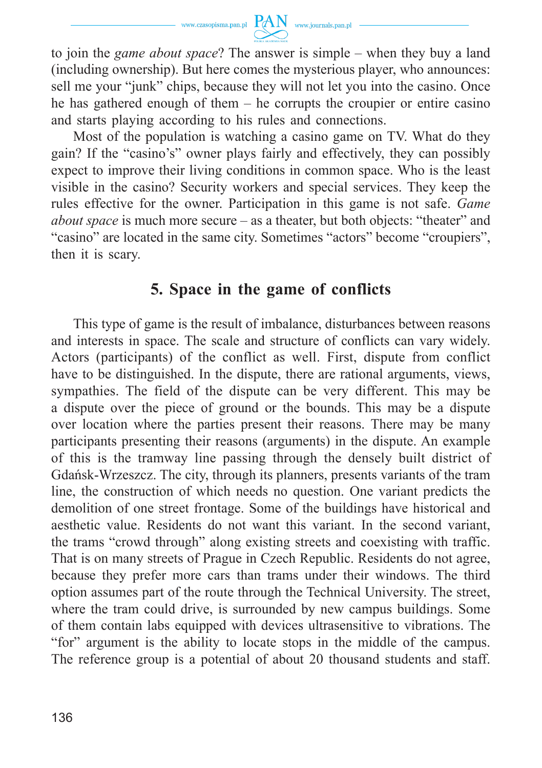

to join the *game about space*? The answer is simple – when they buy a land (including ownership). But here comes the mysterious player, who announces: sell me your "junk" chips, because they will not let you into the casino. Once he has gathered enough of them – he corrupts the croupier or entire casino and starts playing according to his rules and connections.

Most of the population is watching a casino game on TV. What do they gain? If the "casino's" owner plays fairly and effectively, they can possibly expect to improve their living conditions in common space. Who is the least visible in the casino? Security workers and special services. They keep the rules effective for the owner. Participation in this game is not safe. *Game about space* is much more secure – as a theater, but both objects: "theater" and "casino" are located in the same city. Sometimes "actors" become "croupiers", then it is scary.

# **5. Space in the game of conflicts**

This type of game is the result of imbalance, disturbances between reasons and interests in space. The scale and structure of conflicts can vary widely. Actors (participants) of the conflict as well. First, dispute from conflict have to be distinguished. In the dispute, there are rational arguments, views, sympathies. The field of the dispute can be very different. This may be a dispute over the piece of ground or the bounds. This may be a dispute over location where the parties present their reasons. There may be many participants presenting their reasons (arguments) in the dispute. An example of this is the tramway line passing through the densely built district of Gdańsk-Wrzeszcz. The city, through its planners, presents variants of the tram line, the construction of which needs no question. One variant predicts the demolition of one street frontage. Some of the buildings have historical and aesthetic value. Residents do not want this variant. In the second variant, the trams "crowd through" along existing streets and coexisting with traffic. That is on many streets of Prague in Czech Republic. Residents do not agree, because they prefer more cars than trams under their windows. The third option assumes part of the route through the Technical University. The street, where the tram could drive, is surrounded by new campus buildings. Some of them contain labs equipped with devices ultrasensitive to vibrations. The "for" argument is the ability to locate stops in the middle of the campus. The reference group is a potential of about 20 thousand students and staff.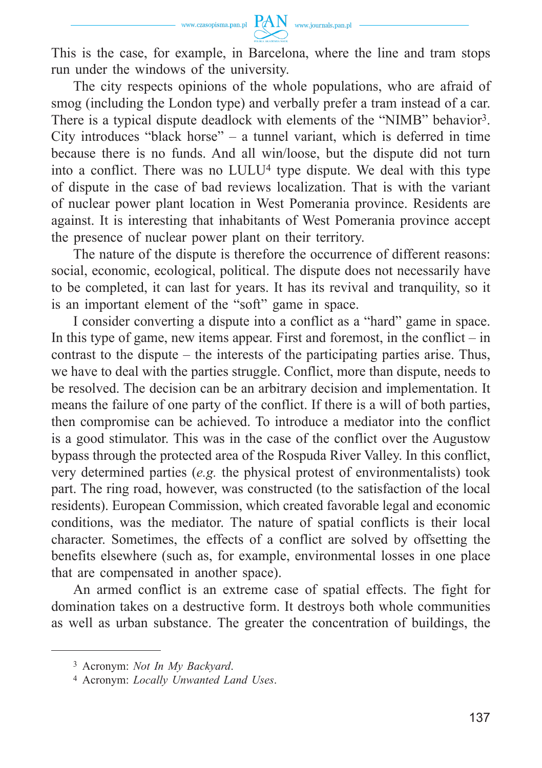

This is the case, for example, in Barcelona, where the line and tram stops run under the windows of the university.

The city respects opinions of the whole populations, who are afraid of smog (including the London type) and verbally prefer a tram instead of a car. There is a typical dispute deadlock with elements of the "NIMB" behavior3. City introduces "black horse" – a tunnel variant, which is deferred in time because there is no funds. And all win/loose, but the dispute did not turn into a conflict. There was no LULU4 type dispute. We deal with this type of dispute in the case of bad reviews localization. That is with the variant of nuclear power plant location in West Pomerania province. Residents are against. It is interesting that inhabitants of West Pomerania province accept the presence of nuclear power plant on their territory.

The nature of the dispute is therefore the occurrence of different reasons: social, economic, ecological, political. The dispute does not necessarily have to be completed, it can last for years. It has its revival and tranquility, so it is an important element of the "soft" game in space.

I consider converting a dispute into a conflict as a "hard" game in space. In this type of game, new items appear. First and foremost, in the conflict  $-$  in contrast to the dispute – the interests of the participating parties arise. Thus, we have to deal with the parties struggle. Conflict, more than dispute, needs to be resolved. The decision can be an arbitrary decision and implementation. It means the failure of one party of the conflict. If there is a will of both parties, then compromise can be achieved. To introduce a mediator into the conflict is a good stimulator. This was in the case of the conflict over the Augustow bypass through the protected area of the Rospuda River Valley. In this conflict, very determined parties (*e.g.* the physical protest of environmentalists) took part. The ring road, however, was constructed (to the satisfaction of the local residents). European Commission, which created favorable legal and economic conditions, was the mediator. The nature of spatial conflicts is their local character. Sometimes, the effects of a conflict are solved by offsetting the benefits elsewhere (such as, for example, environmental losses in one place that are compensated in another space).

An armed conflict is an extreme case of spatial effects. The fight for domination takes on a destructive form. It destroys both whole communities as well as urban substance. The greater the concentration of buildings, the

<sup>3</sup> Acronym: *Not In My Backyard*.

<sup>4</sup> Acronym: *Locally Unwanted Land Uses*.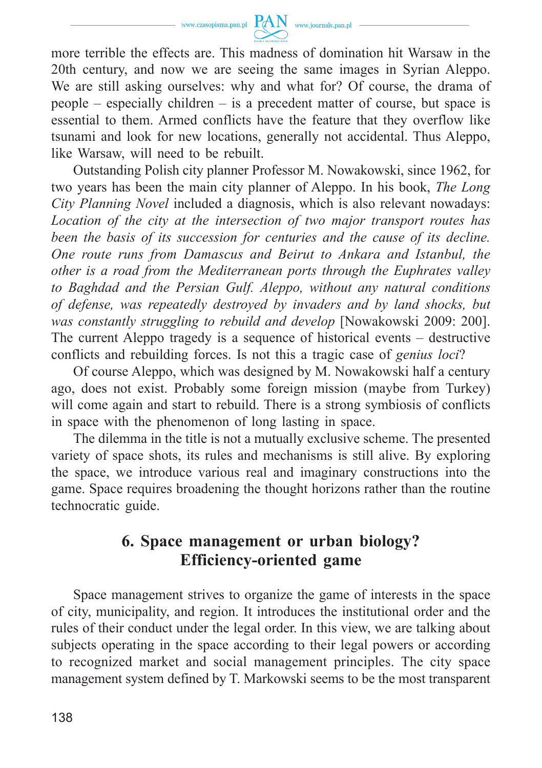

more terrible the effects are. This madness of domination hit Warsaw in the 20th century, and now we are seeing the same images in Syrian Aleppo. We are still asking ourselves: why and what for? Of course, the drama of people – especially children – is a precedent matter of course, but space is essential to them. Armed conflicts have the feature that they overflow like tsunami and look for new locations, generally not accidental. Thus Aleppo, like Warsaw, will need to be rebuilt.

Outstanding Polish city planner Professor M. Nowakowski, since 1962, for two years has been the main city planner of Aleppo. In his book, *The Long City Planning Novel* included a diagnosis, which is also relevant nowadays: *Location of the city at the intersection of two major transport routes has been the basis of its succession for centuries and the cause of its decline. One route runs from Damascus and Beirut to Ankara and Istanbul, the other is a road from the Mediterranean ports through the Euphrates valley to Baghdad and the Persian Gulf. Aleppo, without any natural conditions of defense, was repeatedly destroyed by invaders and by land shocks, but was constantly struggling to rebuild and develop* [Nowakowski 2009: 200]. The current Aleppo tragedy is a sequence of historical events – destructive conflicts and rebuilding forces. Is not this a tragic case of *genius loci*?

Of course Aleppo, which was designed by M. Nowakowski half a century ago, does not exist. Probably some foreign mission (maybe from Turkey) will come again and start to rebuild. There is a strong symbiosis of conflicts in space with the phenomenon of long lasting in space.

The dilemma in the title is not a mutually exclusive scheme. The presented variety of space shots, its rules and mechanisms is still alive. By exploring the space, we introduce various real and imaginary constructions into the game. Space requires broadening the thought horizons rather than the routine technocratic guide.

## **6. Space management or urban biology? Efficiency-oriented game**

Space management strives to organize the game of interests in the space of city, municipality, and region. It introduces the institutional order and the rules of their conduct under the legal order. In this view, we are talking about subjects operating in the space according to their legal powers or according to recognized market and social management principles. The city space management system defined by T. Markowski seems to be the most transparent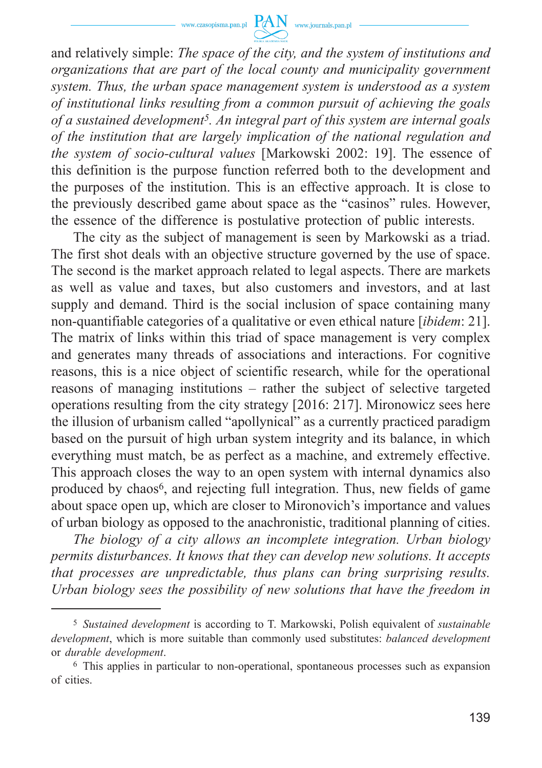

and relatively simple: *The space of the city, and the system of institutions and organizations that are part of the local county and municipality government system. Thus, the urban space management system is understood as a system of institutional links resulting from a common pursuit of achieving the goals of a sustained development5. An integral part of this system are internal goals of the institution that are largely implication of the national regulation and the system of socio-cultural values* [Markowski 2002: 19]. The essence of this definition is the purpose function referred both to the development and the purposes of the institution. This is an effective approach. It is close to the previously described game about space as the "casinos" rules. However, the essence of the difference is postulative protection of public interests.

The city as the subject of management is seen by Markowski as a triad. The first shot deals with an objective structure governed by the use of space. The second is the market approach related to legal aspects. There are markets as well as value and taxes, but also customers and investors, and at last supply and demand. Third is the social inclusion of space containing many non-quantifiable categories of a qualitative or even ethical nature [*ibidem*: 21]. The matrix of links within this triad of space management is very complex and generates many threads of associations and interactions. For cognitive reasons, this is a nice object of scientific research, while for the operational reasons of managing institutions – rather the subject of selective targeted operations resulting from the city strategy [2016: 217]. Mironowicz sees here the illusion of urbanism called "apollynical" as a currently practiced paradigm based on the pursuit of high urban system integrity and its balance, in which everything must match, be as perfect as a machine, and extremely effective. This approach closes the way to an open system with internal dynamics also produced by chaos6, and rejecting full integration. Thus, new fields of game about space open up, which are closer to Mironovich's importance and values of urban biology as opposed to the anachronistic, traditional planning of cities.

*The biology of a city allows an incomplete integration. Urban biology permits disturbances. It knows that they can develop new solutions. It accepts that processes are unpredictable, thus plans can bring surprising results. Urban biology sees the possibility of new solutions that have the freedom in* 

<sup>5</sup> *Sustained development* is according to T. Markowski, Polish equivalent of *sustainable development*, which is more suitable than commonly used substitutes: *balanced development* or *durable development*.

<sup>6</sup> This applies in particular to non-operational, spontaneous processes such as expansion of cities.